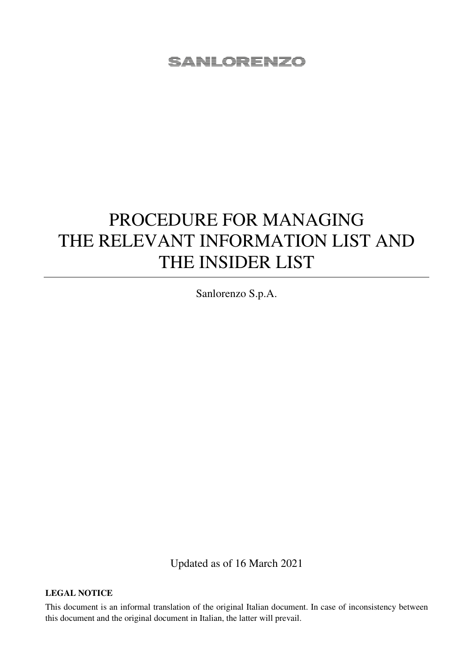# PROCEDURE FOR MANAGING THE RELEVANT INFORMATION LIST AND THE INSIDER LIST

Sanlorenzo S.p.A.

Updated as of 16 March 2021

#### **LEGAL NOTICE**

This document is an informal translation of the original Italian document. In case of inconsistency between this document and the original document in Italian, the latter will prevail.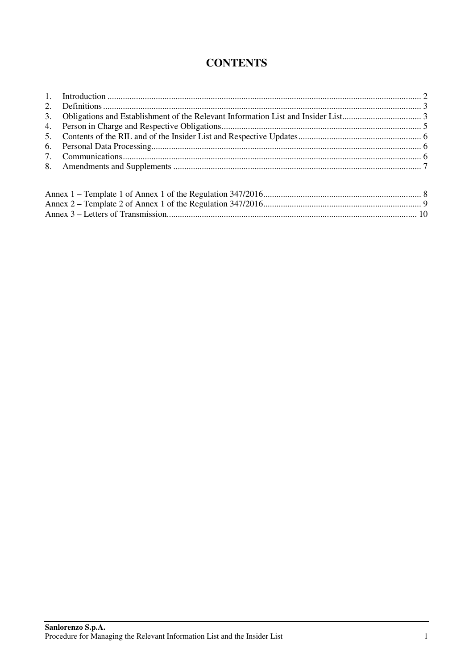## **CONTENTS**

| 3. |  |  |  |  |  |  |
|----|--|--|--|--|--|--|
| 4. |  |  |  |  |  |  |
|    |  |  |  |  |  |  |
| 6. |  |  |  |  |  |  |
|    |  |  |  |  |  |  |
|    |  |  |  |  |  |  |
|    |  |  |  |  |  |  |
|    |  |  |  |  |  |  |
|    |  |  |  |  |  |  |
|    |  |  |  |  |  |  |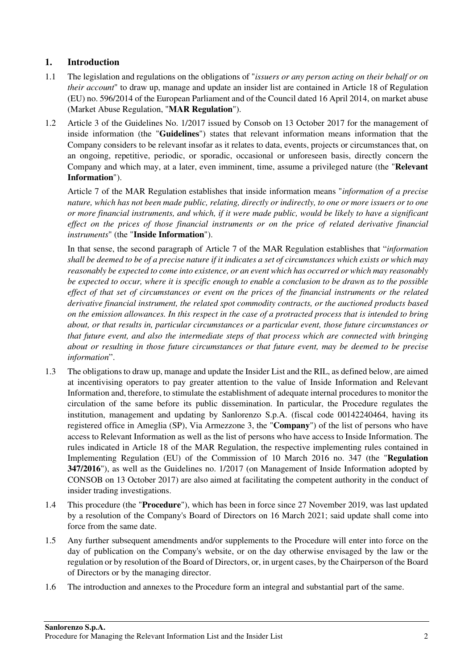## **1. Introduction**

- 1.1 The legislation and regulations on the obligations of "*issuers or any person acting on their behalf or on their account*" to draw up, manage and update an insider list are contained in Article 18 of Regulation (EU) no. 596/2014 of the European Parliament and of the Council dated 16 April 2014, on market abuse (Market Abuse Regulation, "**MAR Regulation**").
- 1.2 Article 3 of the Guidelines No. 1/2017 issued by Consob on 13 October 2017 for the management of inside information (the "**Guidelines**") states that relevant information means information that the Company considers to be relevant insofar as it relates to data, events, projects or circumstances that, on an ongoing, repetitive, periodic, or sporadic, occasional or unforeseen basis, directly concern the Company and which may, at a later, even imminent, time, assume a privileged nature (the "**Relevant Information**").

Article 7 of the MAR Regulation establishes that inside information means "*information of a precise nature, which has not been made public, relating, directly or indirectly, to one or more issuers or to one or more financial instruments, and which, if it were made public, would be likely to have a significant effect on the prices of those financial instruments or on the price of related derivative financial instruments*" (the "**Inside Information**").

In that sense, the second paragraph of Article 7 of the MAR Regulation establishes that "*information shall be deemed to be of a precise nature if it indicates a set of circumstances which exists or which may reasonably be expected to come into existence, or an event which has occurred or which may reasonably be expected to occur, where it is specific enough to enable a conclusion to be drawn as to the possible effect of that set of circumstances or event on the prices of the financial instruments or the related derivative financial instrument, the related spot commodity contracts, or the auctioned products based on the emission allowances. In this respect in the case of a protracted process that is intended to bring about, or that results in, particular circumstances or a particular event, those future circumstances or that future event, and also the intermediate steps of that process which are connected with bringing about or resulting in those future circumstances or that future event, may be deemed to be precise information*".

- 1.3 The obligations to draw up, manage and update the Insider List and the RIL, as defined below, are aimed at incentivising operators to pay greater attention to the value of Inside Information and Relevant Information and, therefore, to stimulate the establishment of adequate internal procedures to monitor the circulation of the same before its public dissemination. In particular, the Procedure regulates the institution, management and updating by Sanlorenzo S.p.A. (fiscal code 00142240464, having its registered office in Ameglia (SP), Via Armezzone 3, the "**Company**") of the list of persons who have access to Relevant Information as well as the list of persons who have access to Inside Information. The rules indicated in Article 18 of the MAR Regulation, the respective implementing rules contained in Implementing Regulation (EU) of the Commission of 10 March 2016 no. 347 (the "**Regulation 347/2016**"), as well as the Guidelines no. 1/2017 (on Management of Inside Information adopted by CONSOB on 13 October 2017) are also aimed at facilitating the competent authority in the conduct of insider trading investigations.
- 1.4 This procedure (the "**Procedure**"), which has been in force since 27 November 2019, was last updated by a resolution of the Company's Board of Directors on 16 March 2021; said update shall come into force from the same date.
- 1.5 Any further subsequent amendments and/or supplements to the Procedure will enter into force on the day of publication on the Company's website, or on the day otherwise envisaged by the law or the regulation or by resolution of the Board of Directors, or, in urgent cases, by the Chairperson of the Board of Directors or by the managing director.
- 1.6 The introduction and annexes to the Procedure form an integral and substantial part of the same.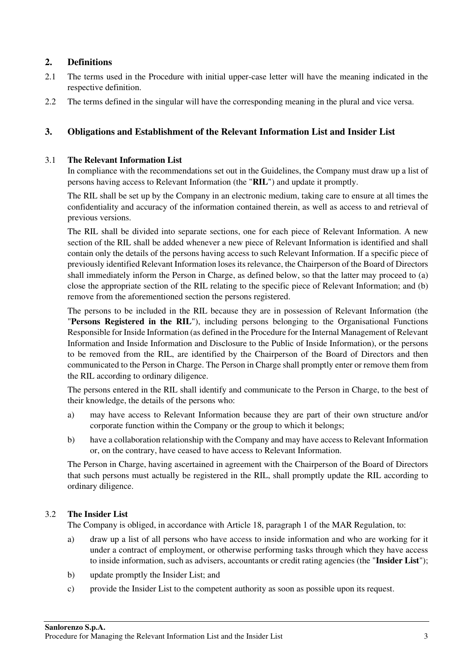## **2. Definitions**

- 2.1 The terms used in the Procedure with initial upper-case letter will have the meaning indicated in the respective definition.
- 2.2 The terms defined in the singular will have the corresponding meaning in the plural and vice versa.

#### **3. Obligations and Establishment of the Relevant Information List and Insider List**

#### 3.1 **The Relevant Information List**

In compliance with the recommendations set out in the Guidelines, the Company must draw up a list of persons having access to Relevant Information (the "**RIL**") and update it promptly.

The RIL shall be set up by the Company in an electronic medium, taking care to ensure at all times the confidentiality and accuracy of the information contained therein, as well as access to and retrieval of previous versions.

The RIL shall be divided into separate sections, one for each piece of Relevant Information. A new section of the RIL shall be added whenever a new piece of Relevant Information is identified and shall contain only the details of the persons having access to such Relevant Information. If a specific piece of previously identified Relevant Information loses its relevance, the Chairperson of the Board of Directors shall immediately inform the Person in Charge, as defined below, so that the latter may proceed to (a) close the appropriate section of the RIL relating to the specific piece of Relevant Information; and (b) remove from the aforementioned section the persons registered.

The persons to be included in the RIL because they are in possession of Relevant Information (the "**Persons Registered in the RIL**"), including persons belonging to the Organisational Functions Responsible for Inside Information (as defined in the Procedure for the Internal Management of Relevant Information and Inside Information and Disclosure to the Public of Inside Information), or the persons to be removed from the RIL, are identified by the Chairperson of the Board of Directors and then communicated to the Person in Charge. The Person in Charge shall promptly enter or remove them from the RIL according to ordinary diligence.

The persons entered in the RIL shall identify and communicate to the Person in Charge, to the best of their knowledge, the details of the persons who:

- a) may have access to Relevant Information because they are part of their own structure and/or corporate function within the Company or the group to which it belongs;
- b) have a collaboration relationship with the Company and may have access to Relevant Information or, on the contrary, have ceased to have access to Relevant Information.

The Person in Charge, having ascertained in agreement with the Chairperson of the Board of Directors that such persons must actually be registered in the RIL, shall promptly update the RIL according to ordinary diligence.

#### 3.2 **The Insider List**

The Company is obliged, in accordance with Article 18, paragraph 1 of the MAR Regulation, to:

- a) draw up a list of all persons who have access to inside information and who are working for it under a contract of employment, or otherwise performing tasks through which they have access to inside information, such as advisers, accountants or credit rating agencies (the "**Insider List**");
- b) update promptly the Insider List; and
- c) provide the Insider List to the competent authority as soon as possible upon its request.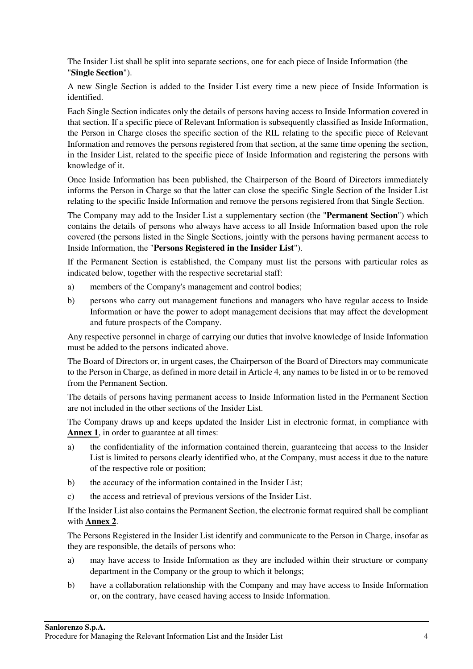The Insider List shall be split into separate sections, one for each piece of Inside Information (the "**Single Section**").

A new Single Section is added to the Insider List every time a new piece of Inside Information is identified.

Each Single Section indicates only the details of persons having access to Inside Information covered in that section. If a specific piece of Relevant Information is subsequently classified as Inside Information, the Person in Charge closes the specific section of the RIL relating to the specific piece of Relevant Information and removes the persons registered from that section, at the same time opening the section, in the Insider List, related to the specific piece of Inside Information and registering the persons with knowledge of it.

Once Inside Information has been published, the Chairperson of the Board of Directors immediately informs the Person in Charge so that the latter can close the specific Single Section of the Insider List relating to the specific Inside Information and remove the persons registered from that Single Section.

The Company may add to the Insider List a supplementary section (the "**Permanent Section**") which contains the details of persons who always have access to all Inside Information based upon the role covered (the persons listed in the Single Sections, jointly with the persons having permanent access to Inside Information, the "**Persons Registered in the Insider List**").

If the Permanent Section is established, the Company must list the persons with particular roles as indicated below, together with the respective secretarial staff:

- a) members of the Company's management and control bodies;
- b) persons who carry out management functions and managers who have regular access to Inside Information or have the power to adopt management decisions that may affect the development and future prospects of the Company.

Any respective personnel in charge of carrying our duties that involve knowledge of Inside Information must be added to the persons indicated above.

The Board of Directors or, in urgent cases, the Chairperson of the Board of Directors may communicate to the Person in Charge, as defined in more detail in Article 4, any names to be listed in or to be removed from the Permanent Section.

The details of persons having permanent access to Inside Information listed in the Permanent Section are not included in the other sections of the Insider List.

The Company draws up and keeps updated the Insider List in electronic format, in compliance with **Annex 1**, in order to guarantee at all times:

- a) the confidentiality of the information contained therein, guaranteeing that access to the Insider List is limited to persons clearly identified who, at the Company, must access it due to the nature of the respective role or position;
- b) the accuracy of the information contained in the Insider List;
- c) the access and retrieval of previous versions of the Insider List.

If the Insider List also contains the Permanent Section, the electronic format required shall be compliant with **Annex 2**.

The Persons Registered in the Insider List identify and communicate to the Person in Charge, insofar as they are responsible, the details of persons who:

- a) may have access to Inside Information as they are included within their structure or company department in the Company or the group to which it belongs;
- b) have a collaboration relationship with the Company and may have access to Inside Information or, on the contrary, have ceased having access to Inside Information.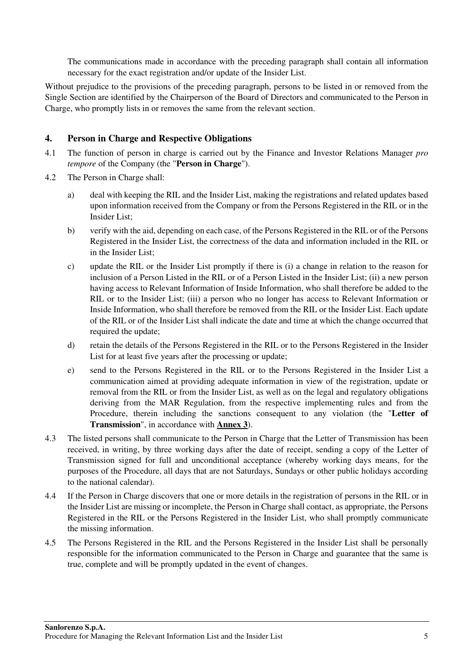The communications made in accordance with the preceding paragraph shall contain all information necessary for the exact registration and/or update of the Insider List.

Without prejudice to the provisions of the preceding paragraph, persons to be listed in or removed from the Single Section are identified by the Chairperson of the Board of Directors and communicated to the Person in Charge, who promptly lists in or removes the same from the relevant section.

#### **4. Person in Charge and Respective Obligations**

- 4.1 The function of person in charge is carried out by the Finance and Investor Relations Manager *pro tempore* of the Company (the "**Person in Charge**").
- 4.2 The Person in Charge shall:
	- a) deal with keeping the RIL and the Insider List, making the registrations and related updates based upon information received from the Company or from the Persons Registered in the RIL or in the Insider List;
	- b) verify with the aid, depending on each case, of the Persons Registered in the RIL or of the Persons Registered in the Insider List, the correctness of the data and information included in the RIL or in the Insider List;
	- c) update the RIL or the Insider List promptly if there is (i) a change in relation to the reason for inclusion of a Person Listed in the RIL or of a Person Listed in the Insider List; (ii) a new person having access to Relevant Information of Inside Information, who shall therefore be added to the RIL or to the Insider List; (iii) a person who no longer has access to Relevant Information or Inside Information, who shall therefore be removed from the RIL or the Insider List. Each update of the RIL or of the Insider List shall indicate the date and time at which the change occurred that required the update;
	- d) retain the details of the Persons Registered in the RIL or to the Persons Registered in the Insider List for at least five years after the processing or update;
	- e) send to the Persons Registered in the RIL or to the Persons Registered in the Insider List a communication aimed at providing adequate information in view of the registration, update or removal from the RIL or from the Insider List, as well as on the legal and regulatory obligations deriving from the MAR Regulation, from the respective implementing rules and from the Procedure, therein including the sanctions consequent to any violation (the "**Letter of Transmission**", in accordance with **Annex 3**).
- 4.3 The listed persons shall communicate to the Person in Charge that the Letter of Transmission has been received, in writing, by three working days after the date of receipt, sending a copy of the Letter of Transmission signed for full and unconditional acceptance (whereby working days means, for the purposes of the Procedure, all days that are not Saturdays, Sundays or other public holidays according to the national calendar).
- 4.4 If the Person in Charge discovers that one or more details in the registration of persons in the RIL or in the Insider List are missing or incomplete, the Person in Charge shall contact, as appropriate, the Persons Registered in the RIL or the Persons Registered in the Insider List, who shall promptly communicate the missing information.
- 4.5 The Persons Registered in the RIL and the Persons Registered in the Insider List shall be personally responsible for the information communicated to the Person in Charge and guarantee that the same is true, complete and will be promptly updated in the event of changes.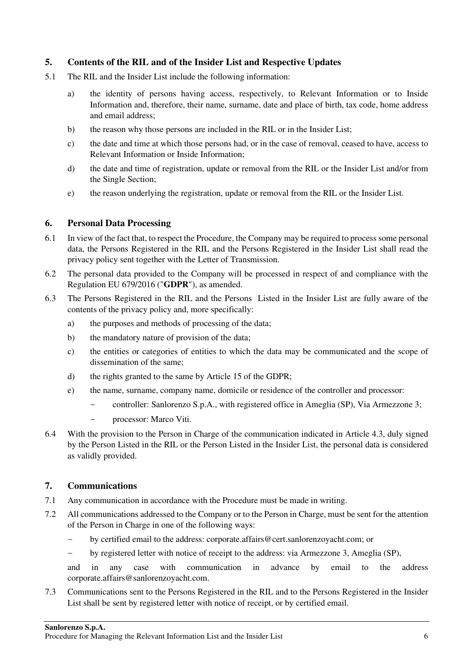## **5. Contents of the RIL and of the Insider List and Respective Updates**

- 5.1 The RIL and the Insider List include the following information:
	- a) the identity of persons having access, respectively, to Relevant Information or to Inside Information and, therefore, their name, surname, date and place of birth, tax code, home address and email address;
	- b) the reason why those persons are included in the RIL or in the Insider List;
	- c) the date and time at which those persons had, or in the case of removal, ceased to have, access to Relevant Information or Inside Information;
	- d) the date and time of registration, update or removal from the RIL or the Insider List and/or from the Single Section;
	- e) the reason underlying the registration, update or removal from the RIL or the Insider List.

## **6. Personal Data Processing**

- 6.1 In view of the fact that, to respect the Procedure, the Company may be required to process some personal data, the Persons Registered in the RIL and the Persons Registered in the Insider List shall read the privacy policy sent together with the Letter of Transmission.
- 6.2 The personal data provided to the Company will be processed in respect of and compliance with the Regulation EU 679/2016 ("**GDPR**"), as amended.
- 6.3 The Persons Registered in the RIL and the Persons Listed in the Insider List are fully aware of the contents of the privacy policy and, more specifically:
	- a) the purposes and methods of processing of the data;
	- b) the mandatory nature of provision of the data;
	- c) the entities or categories of entities to which the data may be communicated and the scope of dissemination of the same;
	- d) the rights granted to the same by Article 15 of the GDPR;
	- e) the name, surname, company name, domicile or residence of the controller and processor:
		- controller: Sanlorenzo S.p.A., with registered office in Ameglia (SP), Via Armezzone 3;
		- processor: Marco Viti.
- 6.4 With the provision to the Person in Charge of the communication indicated in Article 4.3, duly signed by the Person Listed in the RIL or the Person Listed in the Insider List, the personal data is considered as validly provided.

## **7. Communications**

- 7.1 Any communication in accordance with the Procedure must be made in writing.
- 7.2 All communications addressed to the Company or to the Person in Charge, must be sent for the attention of the Person in Charge in one of the following ways:
	- by certified email to the address: corporate.affairs@cert.sanlorenzoyacht.com; or
	- by registered letter with notice of receipt to the address: via Armezzone 3, Ameglia (SP),

and in any case with communication in advance by email to the address corporate.affairs@sanlorenzoyacht.com.

7.3 Communications sent to the Persons Registered in the RIL and to the Persons Registered in the Insider List shall be sent by registered letter with notice of receipt, or by certified email.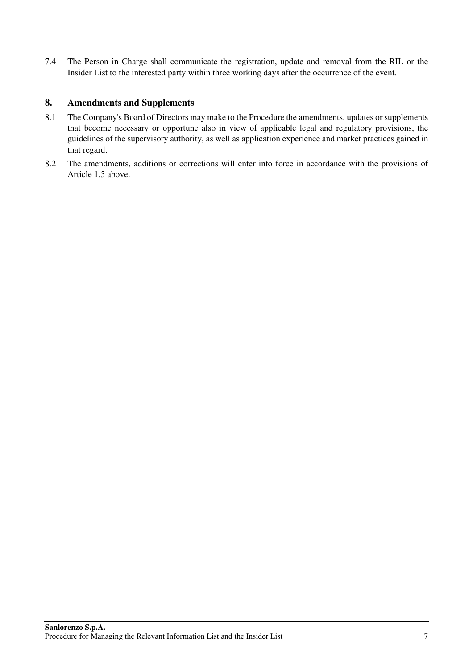7.4 The Person in Charge shall communicate the registration, update and removal from the RIL or the Insider List to the interested party within three working days after the occurrence of the event.

## **8. Amendments and Supplements**

- 8.1 The Company's Board of Directors may make to the Procedure the amendments, updates or supplements that become necessary or opportune also in view of applicable legal and regulatory provisions, the guidelines of the supervisory authority, as well as application experience and market practices gained in that regard.
- 8.2 The amendments, additions or corrections will enter into force in accordance with the provisions of Article 1.5 above.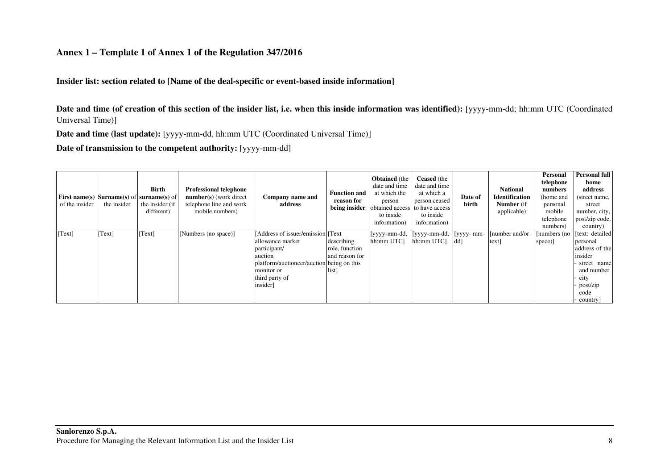#### **Annex 1 – Template 1 of Annex 1 of the Regulation 347/2016**

**Insider list: section related to [Name of the deal-specific or event-based inside information]** 

**Date and time (of creation of this section of the insider list, i.e. when this inside information was identified):** [yyyy-mm-dd; hh:mm UTC (Coordinated Universal Time)]

**Date and time (last update):** [yyyy-mm-dd, hh:mm UTC (Coordinated Universal Time)]

**Date of transmission to the competent authority:** [yyyy-mm-dd]

| of the insider | <b>First name(s)</b> Surname(s) of surname(s) of<br>the insider | Birth<br>the insider (if<br>different) | <b>Professional telephone</b><br>number(s) (work direct<br>telephone line and work<br>mobile numbers) | Company name and<br>address                                                                                                                                                 | <b>Function and</b><br>reason for<br>being insider      | <b>Obtained</b> (the<br>date and time<br>at which the<br>person<br>obtained access<br>to inside<br>information) | <b>Ceased</b> (the<br>date and time<br>at which a<br>person ceased<br>to have access<br>to inside<br>information) | Date of<br>birth  | <b>National</b><br><b>Identification</b><br><b>Number</b> (if<br>applicable) | Personal<br>telephone<br>numbers<br>(home and<br>personal<br>mobile<br>telephone<br>numbers) | <b>Personal full</b><br>home<br>address<br>(street name,<br>street<br>number, city,<br>post/zip code,<br>country)             |
|----------------|-----------------------------------------------------------------|----------------------------------------|-------------------------------------------------------------------------------------------------------|-----------------------------------------------------------------------------------------------------------------------------------------------------------------------------|---------------------------------------------------------|-----------------------------------------------------------------------------------------------------------------|-------------------------------------------------------------------------------------------------------------------|-------------------|------------------------------------------------------------------------------|----------------------------------------------------------------------------------------------|-------------------------------------------------------------------------------------------------------------------------------|
| [Text]         | [Text]                                                          | [Text]                                 | [Numbers (no space)]                                                                                  | [Address of issuer/emission] [Text]<br>allowance market<br>participant/<br>auction<br>platform/auctioneer/auction being on this<br>monitor or<br>third party of<br>insider] | describing<br>role, function<br>and reason for<br>list] | [yyyy-mm-dd,<br>hh:mm UTC]                                                                                      | [yyyy-mm-dd,<br>hh:mm UTC]                                                                                        | [yyyy- mm-<br>dd] | [number and/or<br>text                                                       | numbers (no<br>space)]                                                                       | [text: detailed]<br>personal<br>address of the<br>insider<br>street name<br>and number<br>city<br>post/zip<br>code<br>country |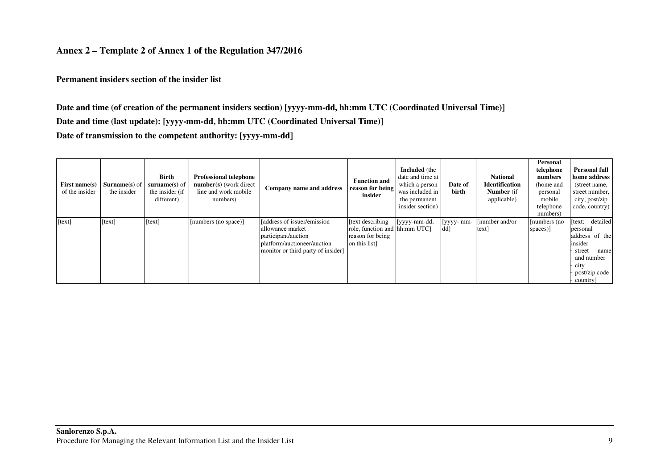#### **Annex 2 – Template 2 of Annex 1 of the Regulation 347/2016**

**Permanent insiders section of the insider list** 

**Date and time (of creation of the permanent insiders section) [yyyy-mm-dd, hh:mm UTC (Coordinated Universal Time)] Date and time (last update): [yyyy-mm-dd, hh:mm UTC (Coordinated Universal Time)] Date of transmission to the competent authority: [yyyy-mm-dd]** 

| First name $(s)$<br>of the insider | <b>Surname(s)</b> of<br>the insider | Birth<br>$\textbf{surname}(s)$ of<br>the insider (if<br>different) | <b>Professional telephone</b><br>number(s) (work direct<br>line and work mobile<br>numbers) | Company name and address                                                                                                                     | <b>Function and</b><br>reason for being<br>insider                                   | <b>Included</b> (the<br>date and time at<br>which a person<br>was included in<br>the permanent<br>insider section) | Date of<br>birth  | <b>National</b><br><b>Identification</b><br><b>Number</b> (if<br>applicable) | <b>Personal</b><br>telephone<br>numbers<br>(home and<br>personal<br>mobile<br>telephone<br>numbers) | <b>Personal full</b><br>home address<br>(street name,<br>street number,<br>city, post/zip<br>code, country)                     |
|------------------------------------|-------------------------------------|--------------------------------------------------------------------|---------------------------------------------------------------------------------------------|----------------------------------------------------------------------------------------------------------------------------------------------|--------------------------------------------------------------------------------------|--------------------------------------------------------------------------------------------------------------------|-------------------|------------------------------------------------------------------------------|-----------------------------------------------------------------------------------------------------|---------------------------------------------------------------------------------------------------------------------------------|
| [text]                             | [text]                              | [text]                                                             | [numbers (no space)]                                                                        | [address of issuer/emission]<br>allowance market<br>participant/auction<br>platform/auctioneer/auction<br>monitor or third party of insider] | text describing<br>role, function and hh:mm UTC]<br>reason for being<br>on this list | [yyyy-mm-dd,                                                                                                       | [yyyy- mm-<br>dd] | [number and/or]<br>text]                                                     | [numbers (no<br>spaces)]                                                                            | detailed<br>text:<br>personal<br>address of the<br>insider<br>name<br>street<br>and number<br>city<br>post/zip code<br>country] |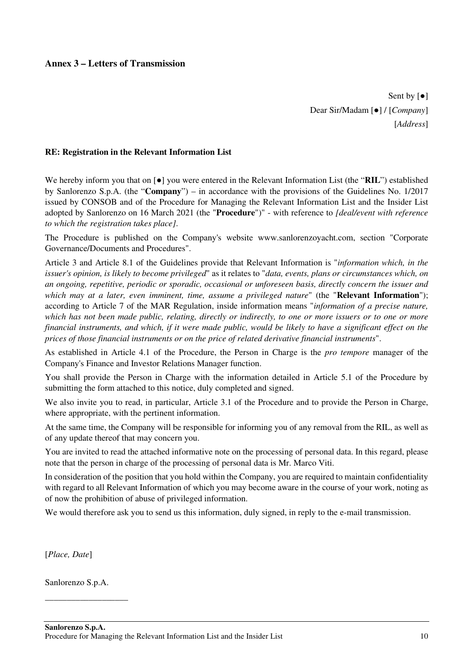## **Annex 3 – Letters of Transmission**

Sent by [●] Dear Sir/Madam [●] / [*Company*] [*Address*]

#### **RE: Registration in the Relevant Information List**

We hereby inform you that on [●] you were entered in the Relevant Information List (the "**RIL**") established by Sanlorenzo S.p.A. (the "**Company**") – in accordance with the provisions of the Guidelines No. 1/2017 issued by CONSOB and of the Procedure for Managing the Relevant Information List and the Insider List adopted by Sanlorenzo on 16 March 2021 (the "**Procedure**")" - with reference to *[deal/event with reference to which the registration takes place]*.

The Procedure is published on the Company's website www.sanlorenzoyacht.com, section "Corporate Governance/Documents and Procedures".

Article 3 and Article 8.1 of the Guidelines provide that Relevant Information is "*information which, in the issuer's opinion, is likely to become privileged*" as it relates to "*data, events, plans or circumstances which, on an ongoing, repetitive, periodic or sporadic, occasional or unforeseen basis, directly concern the issuer and which may at a later, even imminent, time, assume a privileged nature*" (the "**Relevant Information**"); according to Article 7 of the MAR Regulation, inside information means "*information of a precise nature, which has not been made public, relating, directly or indirectly, to one or more issuers or to one or more financial instruments, and which, if it were made public, would be likely to have a significant effect on the prices of those financial instruments or on the price of related derivative financial instruments*".

As established in Article 4.1 of the Procedure, the Person in Charge is the *pro tempore* manager of the Company's Finance and Investor Relations Manager function.

You shall provide the Person in Charge with the information detailed in Article 5.1 of the Procedure by submitting the form attached to this notice, duly completed and signed.

We also invite you to read, in particular, Article 3.1 of the Procedure and to provide the Person in Charge, where appropriate, with the pertinent information.

At the same time, the Company will be responsible for informing you of any removal from the RIL, as well as of any update thereof that may concern you.

You are invited to read the attached informative note on the processing of personal data. In this regard, please note that the person in charge of the processing of personal data is Mr. Marco Viti.

In consideration of the position that you hold within the Company, you are required to maintain confidentiality with regard to all Relevant Information of which you may become aware in the course of your work, noting as of now the prohibition of abuse of privileged information.

We would therefore ask you to send us this information, duly signed, in reply to the e-mail transmission.

[*Place, Date*]

Sanlorenzo S.p.A.

\_\_\_\_\_\_\_\_\_\_\_\_\_\_\_\_\_\_\_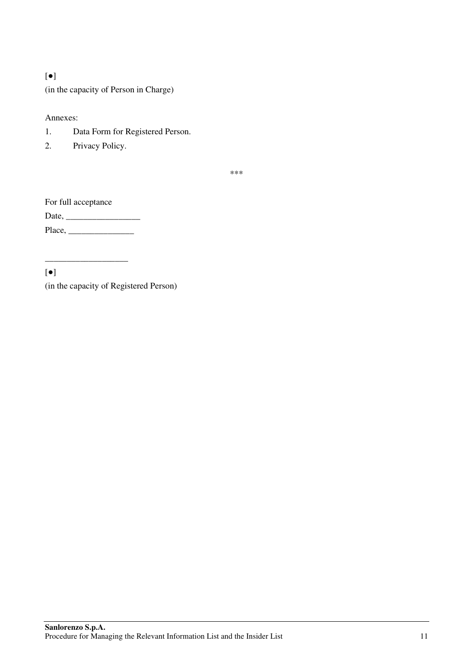## [●]

(in the capacity of Person in Charge)

#### Annexes:

- 1. Data Form for Registered Person.
- 2. Privacy Policy.

\*\*\*

For full acceptance

Date, \_\_\_\_\_\_\_\_\_\_\_\_\_\_\_\_\_ Place, \_\_\_\_\_\_\_\_\_\_\_\_\_\_\_

\_\_\_\_\_\_\_\_\_\_\_\_\_\_\_\_\_\_\_

[●]

(in the capacity of Registered Person)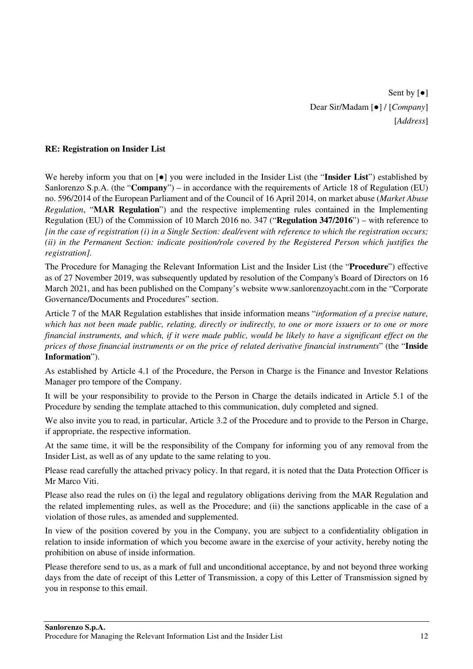Sent by  $\lceil \bullet \rceil$ Dear Sir/Madam [●] / [*Company*] [*Address*]

#### **RE: Registration on Insider List**

We hereby inform you that on [●] you were included in the Insider List (the "**Insider List**") established by Sanlorenzo S.p.A. (the "**Company**") – in accordance with the requirements of Article 18 of Regulation (EU) no. 596/2014 of the European Parliament and of the Council of 16 April 2014, on market abuse (*Market Abuse Regulation*, "**MAR Regulation**") and the respective implementing rules contained in the Implementing Regulation (EU) of the Commission of 10 March 2016 no. 347 ("**Regulation 347/2016**") – with reference to *[in the case of registration (i) in a Single Section: deal/event with reference to which the registration occurs; (ii) in the Permanent Section: indicate position/role covered by the Registered Person which justifies the registration].*

The Procedure for Managing the Relevant Information List and the Insider List (the "**Procedure**") effective as of 27 November 2019, was subsequently updated by resolution of the Company's Board of Directors on 16 March 2021, and has been published on the Company's website www.sanlorenzoyacht.com in the "Corporate Governance/Documents and Procedures" section.

Article 7 of the MAR Regulation establishes that inside information means "*information of a precise nature, which has not been made public, relating, directly or indirectly, to one or more issuers or to one or more financial instruments, and which, if it were made public, would be likely to have a significant effect on the prices of those financial instruments or on the price of related derivative financial instruments*" (the "**Inside Information**").

As established by Article 4.1 of the Procedure, the Person in Charge is the Finance and Investor Relations Manager pro tempore of the Company.

It will be your responsibility to provide to the Person in Charge the details indicated in Article 5.1 of the Procedure by sending the template attached to this communication, duly completed and signed.

We also invite you to read, in particular, Article 3.2 of the Procedure and to provide to the Person in Charge, if appropriate, the respective information.

At the same time, it will be the responsibility of the Company for informing you of any removal from the Insider List, as well as of any update to the same relating to you.

Please read carefully the attached privacy policy. In that regard, it is noted that the Data Protection Officer is Mr Marco Viti.

Please also read the rules on (i) the legal and regulatory obligations deriving from the MAR Regulation and the related implementing rules, as well as the Procedure; and (ii) the sanctions applicable in the case of a violation of those rules, as amended and supplemented.

In view of the position covered by you in the Company, you are subject to a confidentiality obligation in relation to inside information of which you become aware in the exercise of your activity, hereby noting the prohibition on abuse of inside information.

Please therefore send to us, as a mark of full and unconditional acceptance, by and not beyond three working days from the date of receipt of this Letter of Transmission, a copy of this Letter of Transmission signed by you in response to this email.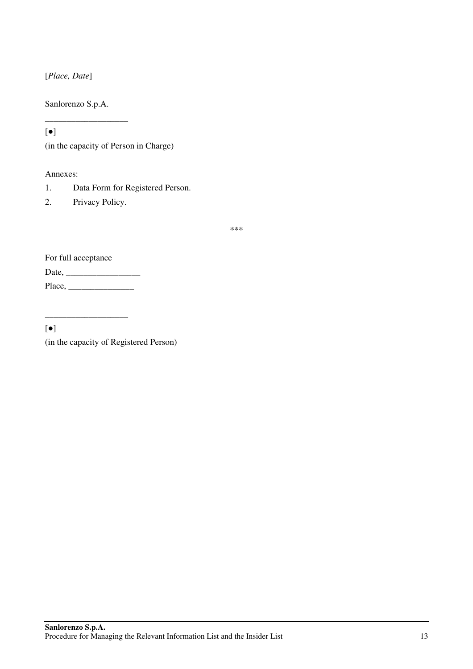[*Place, Date*]

Sanlorenzo S.p.A.

\_\_\_\_\_\_\_\_\_\_\_\_\_\_\_\_\_\_\_

[●]

(in the capacity of Person in Charge)

Annexes:

- 1. Data Form for Registered Person.
- 2. Privacy Policy.

\*\*\*

For full acceptance Date, \_\_\_\_\_\_\_\_\_\_\_\_\_\_\_\_\_

\_\_\_\_\_\_\_\_\_\_\_\_\_\_\_\_\_\_\_

Place, \_\_\_\_\_\_\_\_\_\_\_\_\_\_\_

[●]

(in the capacity of Registered Person)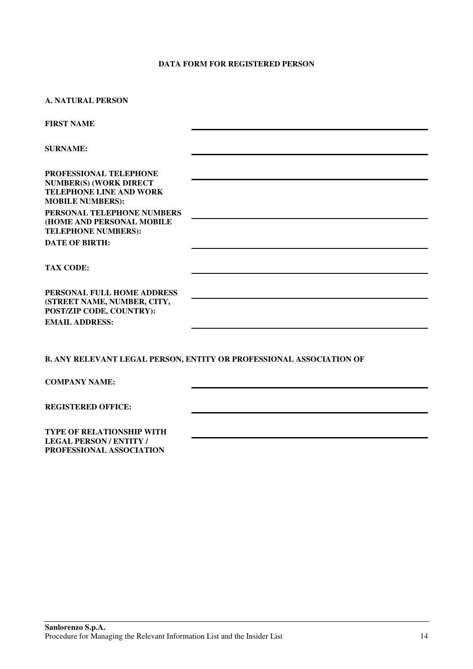#### **DATA FORM FOR REGISTERED PERSON**

| <b>A. NATURAL PERSON</b>                                                                                             |  |  |  |  |  |
|----------------------------------------------------------------------------------------------------------------------|--|--|--|--|--|
| <b>FIRST NAME</b>                                                                                                    |  |  |  |  |  |
| <b>SURNAME:</b>                                                                                                      |  |  |  |  |  |
| PROFESSIONAL TELEPHONE<br><b>NUMBER(S) (WORK DIRECT</b><br><b>TELEPHONE LINE AND WORK</b><br><b>MOBILE NUMBERS):</b> |  |  |  |  |  |
| PERSONAL TELEPHONE NUMBERS<br>(HOME AND PERSONAL MOBILE<br><b>TELEPHONE NUMBERS):</b>                                |  |  |  |  |  |
| <b>DATE OF BIRTH:</b>                                                                                                |  |  |  |  |  |
| <b>TAX CODE:</b>                                                                                                     |  |  |  |  |  |
| PERSONAL FULL HOME ADDRESS<br>(STREET NAME, NUMBER, CITY,<br>POST/ZIP CODE, COUNTRY):<br><b>EMAIL ADDRESS:</b>       |  |  |  |  |  |
|                                                                                                                      |  |  |  |  |  |
| <b>B. ANY RELEVANT LEGAL PERSON, ENTITY OR PROFESSIONAL ASSOCIATION OF</b>                                           |  |  |  |  |  |
| <b>COMPANY NAME:</b>                                                                                                 |  |  |  |  |  |
| <b>REGISTERED OFFICE:</b>                                                                                            |  |  |  |  |  |

**TYPE OF RELATIONSHIP WITH LEGAL PERSON / ENTITY / PROFESSIONAL ASSOCIATION**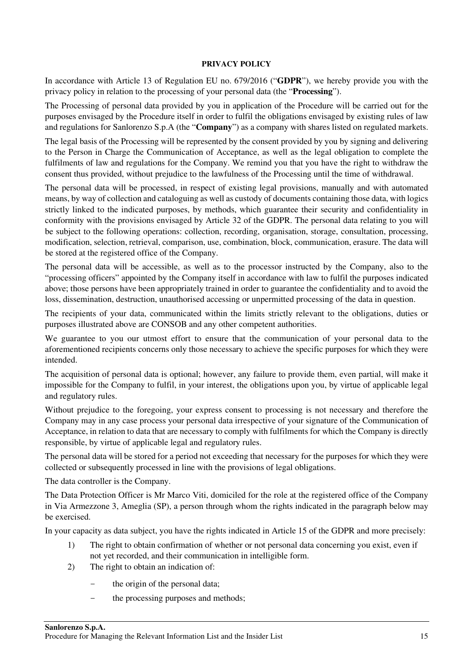#### **PRIVACY POLICY**

In accordance with Article 13 of Regulation EU no. 679/2016 ("**GDPR**"), we hereby provide you with the privacy policy in relation to the processing of your personal data (the "**Processing**").

The Processing of personal data provided by you in application of the Procedure will be carried out for the purposes envisaged by the Procedure itself in order to fulfil the obligations envisaged by existing rules of law and regulations for Sanlorenzo S.p.A (the "**Company**") as a company with shares listed on regulated markets.

The legal basis of the Processing will be represented by the consent provided by you by signing and delivering to the Person in Charge the Communication of Acceptance, as well as the legal obligation to complete the fulfilments of law and regulations for the Company. We remind you that you have the right to withdraw the consent thus provided, without prejudice to the lawfulness of the Processing until the time of withdrawal.

The personal data will be processed, in respect of existing legal provisions, manually and with automated means, by way of collection and cataloguing as well as custody of documents containing those data, with logics strictly linked to the indicated purposes, by methods, which guarantee their security and confidentiality in conformity with the provisions envisaged by Article 32 of the GDPR. The personal data relating to you will be subject to the following operations: collection, recording, organisation, storage, consultation, processing, modification, selection, retrieval, comparison, use, combination, block, communication, erasure. The data will be stored at the registered office of the Company.

The personal data will be accessible, as well as to the processor instructed by the Company, also to the "processing officers" appointed by the Company itself in accordance with law to fulfil the purposes indicated above; those persons have been appropriately trained in order to guarantee the confidentiality and to avoid the loss, dissemination, destruction, unauthorised accessing or unpermitted processing of the data in question.

The recipients of your data, communicated within the limits strictly relevant to the obligations, duties or purposes illustrated above are CONSOB and any other competent authorities.

We guarantee to you our utmost effort to ensure that the communication of your personal data to the aforementioned recipients concerns only those necessary to achieve the specific purposes for which they were intended.

The acquisition of personal data is optional; however, any failure to provide them, even partial, will make it impossible for the Company to fulfil, in your interest, the obligations upon you, by virtue of applicable legal and regulatory rules.

Without prejudice to the foregoing, your express consent to processing is not necessary and therefore the Company may in any case process your personal data irrespective of your signature of the Communication of Acceptance, in relation to data that are necessary to comply with fulfilments for which the Company is directly responsible, by virtue of applicable legal and regulatory rules.

The personal data will be stored for a period not exceeding that necessary for the purposes for which they were collected or subsequently processed in line with the provisions of legal obligations.

The data controller is the Company.

The Data Protection Officer is Mr Marco Viti, domiciled for the role at the registered office of the Company in Via Armezzone 3, Ameglia (SP), a person through whom the rights indicated in the paragraph below may be exercised.

In your capacity as data subject, you have the rights indicated in Article 15 of the GDPR and more precisely:

- 1) The right to obtain confirmation of whether or not personal data concerning you exist, even if not yet recorded, and their communication in intelligible form.
- 2) The right to obtain an indication of:
	- the origin of the personal data;
	- the processing purposes and methods;